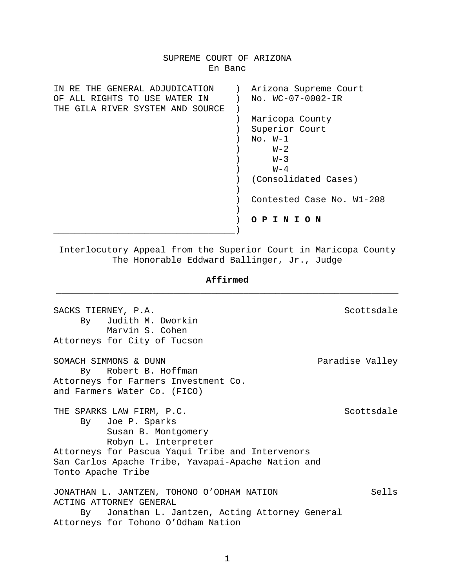# SUPREME COURT OF ARIZONA En Banc IN RE THE GENERAL ADJUDICATION ) Arizona Supreme Court<br>OF ALL RIGHTS TO USE WATER IN ) No. WC-07-0002-IR OF ALL RIGHTS TO USE WATER IN THE GILA RIVER SYSTEM AND SOURCE ) ) Maricopa County ) Superior Court ) No. W-1  $W-2$  $W-3$  $\mathbb{W}^{-4}$  ) (Consolidated Cases)  $)$  ) Contested Case No. W1-208  $)$  ) **O P I N I O N** \_\_\_\_\_\_\_\_\_\_\_\_\_\_\_\_\_\_\_\_\_\_\_\_\_\_\_\_\_\_\_\_\_\_)

Interlocutory Appeal from the Superior Court in Maricopa County The Honorable Eddward Ballinger, Jr., Judge

# **Affirmed** \_\_\_\_\_\_\_\_\_\_\_\_\_\_\_\_\_\_\_\_\_\_\_\_\_\_\_\_\_\_\_\_\_\_\_\_\_\_\_\_\_\_\_\_\_\_\_\_\_\_\_\_\_\_\_\_\_\_\_\_\_\_\_\_

| SACKS TIERNEY, P.A.                                | Scottsdale      |
|----------------------------------------------------|-----------------|
| By Judith M. Dworkin                               |                 |
| Marvin S. Cohen                                    |                 |
| Attorneys for City of Tucson                       |                 |
| SOMACH SIMMONS & DUNN                              | Paradise Valley |
| By Robert B. Hoffman                               |                 |
| Attorneys for Farmers Investment Co.               |                 |
| and Farmers Water Co. (FICO)                       |                 |
| THE SPARKS LAW FIRM, P.C.                          | Scottsdale      |
| By Joe P. Sparks                                   |                 |
| Susan B. Montgomery                                |                 |
| Robyn L. Interpreter                               |                 |
| Attorneys for Pascua Yaqui Tribe and Intervenors   |                 |
| San Carlos Apache Tribe, Yavapai-Apache Nation and |                 |
| Tonto Apache Tribe                                 |                 |
| JONATHAN L. JANTZEN, TOHONO O'ODHAM NATION         | Sells           |
| ACTING ATTORNEY GENERAL                            |                 |
| By Jonathan L. Jantzen, Acting Attorney General    |                 |
| Attorneys for Tohono O'Odham Nation                |                 |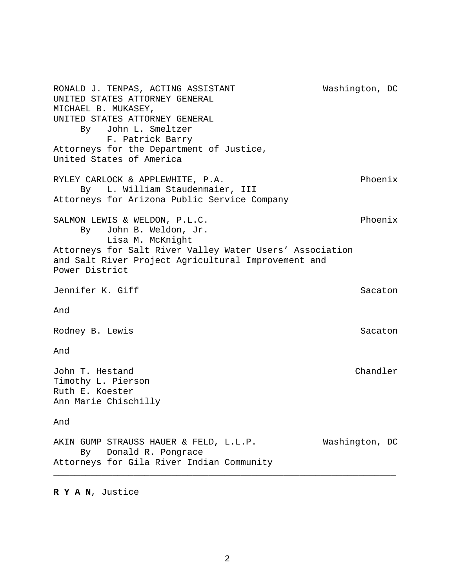RONALD J. TENPAS, ACTING ASSISTANT Washington, DC UNITED STATES ATTORNEY GENERAL MICHAEL B. MUKASEY, UNITED STATES ATTORNEY GENERAL By John L. Smeltzer F. Patrick Barry Attorneys for the Department of Justice, United States of America RYLEY CARLOCK & APPLEWHITE, P.A. Phoenix By L. William Staudenmaier, III Attorneys for Arizona Public Service Company SALMON LEWIS & WELDON, P.L.C. Phoenix By John B. Weldon, Jr. Lisa M. McKnight Attorneys for Salt River Valley Water Users' Association and Salt River Project Agricultural Improvement and Power District Jennifer K. Giff Sacaton Sacaton Sacaton Sacaton Sacaton Sacaton Sacaton Sacaton Sacaton Sacaton Sacaton Sacaton And Rodney B. Lewis Sacaton Sacaton Sacaton Sacaton Sacaton Sacaton Sacaton Sacaton Sacaton Sacaton Sacaton Sacaton And John T. Hestand Chandler Timothy L. Pierson Ruth E. Koester Ann Marie Chischilly And AKIN GUMP STRAUSS HAUER & FELD, L.L.P. Washington, DC By Donald R. Pongrace Attorneys for Gila River Indian Community \_\_\_\_\_\_\_\_\_\_\_\_\_\_\_\_\_\_\_\_\_\_\_\_\_\_\_\_\_\_\_\_\_\_\_\_\_\_\_\_\_\_\_\_\_\_\_\_\_\_\_\_\_\_\_\_\_\_\_\_\_\_\_\_

## **R Y A N**, Justice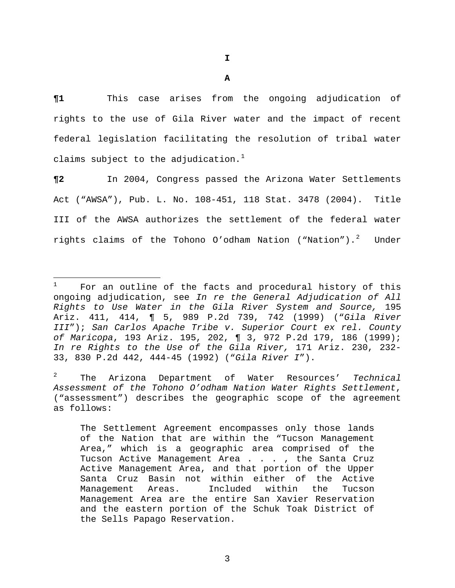**I** 

**¶1** This case arises from the ongoing adjudication of rights to the use of Gila River water and the impact of recent federal legislation facilitating the resolution of tribal water claims subject to the adjudication. $<sup>1</sup>$  $<sup>1</sup>$  $<sup>1</sup>$ </sup>

**¶2** In 2004, Congress passed the Arizona Water Settlements Act ("AWSA"), Pub. L. No. 108-451, 118 Stat. 3478 (2004). Title III of the AWSA authorizes the settlement of the federal water rights claims of the Tohono O'odham Nation ("Nation").<sup>[2](#page-2-1)</sup> Under

i<br>Li

<span id="page-2-0"></span><sup>1</sup> For an outline of the facts and procedural history of this ongoing adjudication, see *In re the General Adjudication of All Rights to Use Water in the Gila River System and Source,* 195 Ariz. 411, 414, ¶ 5, 989 P.2d 739, 742 (1999) ("*Gila River III*"); *San Carlos Apache Tribe v. Superior Court ex rel. County of Maricopa*, 193 Ariz. 195, 202, ¶ 3, 972 P.2d 179, 186 (1999); *In re Rights to the Use of the Gila River,* 171 Ariz. 230, 232- 33, 830 P.2d 442, 444-45 (1992) ("*Gila River I*").

<span id="page-2-1"></span><sup>2</sup> The Arizona Department of Water Resources' *Technical Assessment of the Tohono O'odham Nation Water Rights Settlement*, ("assessment") describes the geographic scope of the agreement as follows:

The Settlement Agreement encompasses only those lands of the Nation that are within the "Tucson Management Area," which is a geographic area comprised of the Tucson Active Management Area . . . , the Santa Cruz Active Management Area, and that portion of the Upper Santa Cruz Basin not within either of the Active Management Areas. Included within the Tucson Management Area are the entire San Xavier Reservation and the eastern portion of the Schuk Toak District of the Sells Papago Reservation.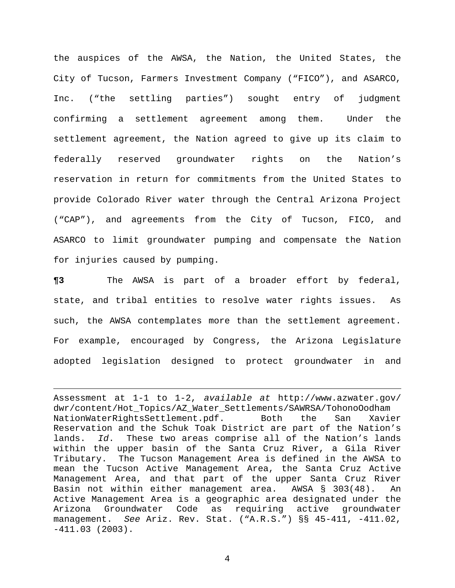the auspices of the AWSA, the Nation, the United States, the City of Tucson, Farmers Investment Company ("FICO"), and ASARCO, Inc. ("the settling parties") sought entry of judgment confirming a settlement agreement among them. Under the settlement agreement, the Nation agreed to give up its claim to federally reserved groundwater rights on the Nation's reservation in return for commitments from the United States to provide Colorado River water through the Central Arizona Project ("CAP"), and agreements from the City of Tucson, FICO, and ASARCO to limit groundwater pumping and compensate the Nation for injuries caused by pumping.

**¶3** The AWSA is part of a broader effort by federal, state, and tribal entities to resolve water rights issues. As such, the AWSA contemplates more than the settlement agreement. For example, encouraged by Congress, the Arizona Legislature adopted legislation designed to protect groundwater in and

i<br>Li

Assessment at 1-1 to 1-2, *available at* http://www.azwater.gov/ dwr/content/Hot\_Topics/AZ\_Water\_Settlements/SAWRSA/TohonoOodham NationWaterRightsSettlement.pdf. Both the San Xavier Reservation and the Schuk Toak District are part of the Nation's lands. *Id*.These two areas comprise all of the Nation's lands within the upper basin of the Santa Cruz River, a Gila River Tributary. The Tucson Management Area is defined in the AWSA to mean the Tucson Active Management Area, the Santa Cruz Active Management Area, and that part of the upper Santa Cruz River Basin not within either management area. AWSA § 303(48). An Active Management Area is a geographic area designated under the Arizona Groundwater Code as requiring active groundwater management. *See* Ariz. Rev. Stat. ("A.R.S.") §§ 45-411, -411.02, -411.03 (2003).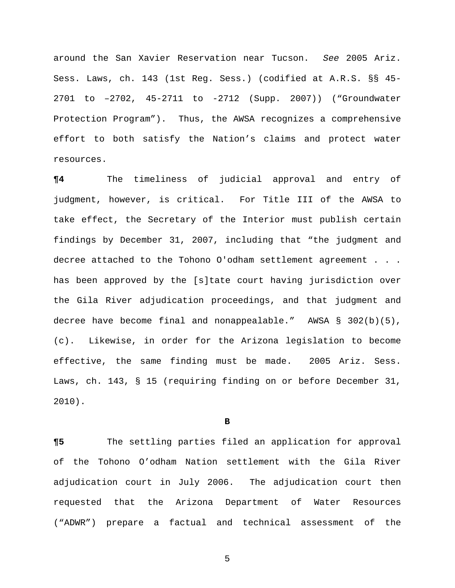around the San Xavier Reservation near Tucson. *See* 2005 Ariz. Sess. Laws, ch. 143 (1st Reg. Sess.) (codified at A.R.S. §§ 45- 2701 to –2702, 45-2711 to -2712 (Supp. 2007)) ("Groundwater Protection Program"). Thus, the AWSA recognizes a comprehensive effort to both satisfy the Nation's claims and protect water resources.

**¶4** The timeliness of judicial approval and entry of judgment, however, is critical. For Title III of the AWSA to take effect, the Secretary of the Interior must publish certain findings by December 31, 2007, including that "the judgment and decree attached to the Tohono O'odham settlement agreement . . . has been approved by the [s]tate court having jurisdiction over the Gila River adjudication proceedings, and that judgment and decree have become final and nonappealable." AWSA § 302(b)(5), (c). Likewise, in order for the Arizona legislation to become effective, the same finding must be made. 2005 Ariz. Sess. Laws, ch. 143, § 15 (requiring finding on or before December 31, 2010).

#### **B**

**¶5** The settling parties filed an application for approval of the Tohono O'odham Nation settlement with the Gila River adjudication court in July 2006. The adjudication court then requested that the Arizona Department of Water Resources ("ADWR") prepare a factual and technical assessment of the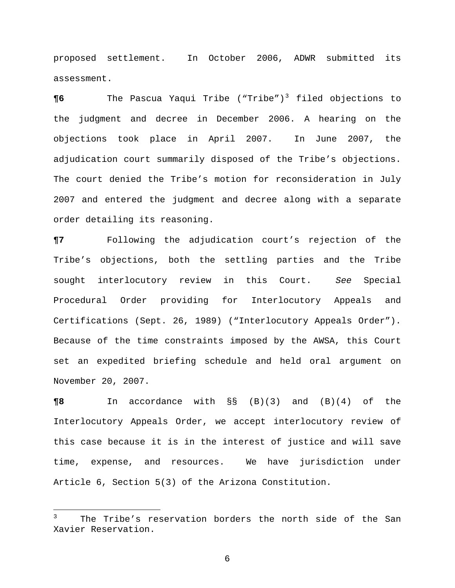proposed settlement. In October 2006, ADWR submitted its assessment.

**¶6** The Pascua Yaqui Tribe ("Tribe")[3](#page-5-0) filed objections to the judgment and decree in December 2006. A hearing on the objections took place in April 2007. In June 2007, the adjudication court summarily disposed of the Tribe's objections. The court denied the Tribe's motion for reconsideration in July 2007 and entered the judgment and decree along with a separate order detailing its reasoning.

**¶7** Following the adjudication court's rejection of the Tribe's objections, both the settling parties and the Tribe sought interlocutory review in this Court. *See* Special Procedural Order providing for Interlocutory Appeals and Certifications (Sept. 26, 1989) ("Interlocutory Appeals Order"). Because of the time constraints imposed by the AWSA, this Court set an expedited briefing schedule and held oral argument on November 20, 2007.

**¶8** In accordance with §§ (B)(3) and (B)(4) of the Interlocutory Appeals Order, we accept interlocutory review of this case because it is in the interest of justice and will save time, expense, and resources. We have jurisdiction under Article 6, Section 5(3) of the Arizona Constitution.

i<br>Li

<span id="page-5-0"></span><sup>3</sup> The Tribe's reservation borders the north side of the San Xavier Reservation.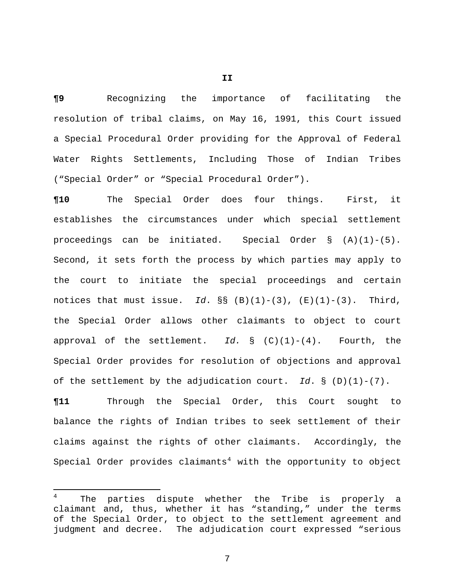**¶9** Recognizing the importance of facilitating the resolution of tribal claims, on May 16, 1991, this Court issued a Special Procedural Order providing for the Approval of Federal Water Rights Settlements, Including Those of Indian Tribes ("Special Order" or "Special Procedural Order").

**¶10** The Special Order does four things. First, it establishes the circumstances under which special settlement proceedings can be initiated. Special Order  $\S$  (A)(1)-(5). Second, it sets forth the process by which parties may apply to the court to initiate the special proceedings and certain notices that must issue. Id.  $\S$ § (B)(1)-(3), (E)(1)-(3). Third, the Special Order allows other claimants to object to court approval of the settlement. *Id.* § (C)(1)-(4). Fourth, the Special Order provides for resolution of objections and approval of the settlement by the adjudication court. *Id*. § (D)(1)-(7).

**¶11** Through the Special Order, this Court sought to balance the rights of Indian tribes to seek settlement of their claims against the rights of other claimants. Accordingly, the Special Order provides claimants<sup>[4](#page-6-0)</sup> with the opportunity to object

i

**II** 

<span id="page-6-0"></span><sup>4</sup> The parties dispute whether the Tribe is properly a claimant and, thus, whether it has "standing," under the terms of the Special Order, to object to the settlement agreement and judgment and decree. The adjudication court expressed "serious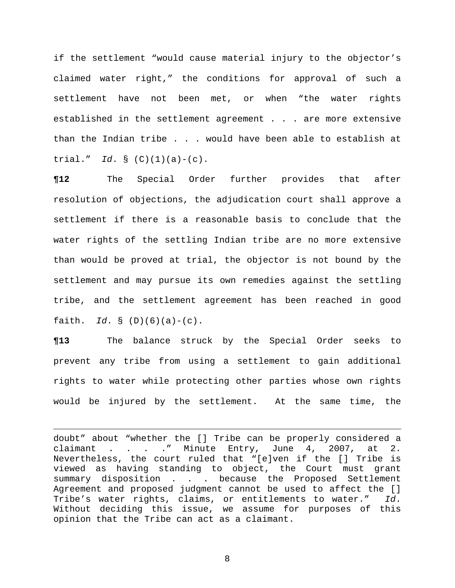if the settlement "would cause material injury to the objector's claimed water right," the conditions for approval of such a settlement have not been met, or when "the water rights established in the settlement agreement . . . are more extensive than the Indian tribe . . . would have been able to establish at trial." *Id*. § (C)(1)(a)-(c).

**¶12** The Special Order further provides that after resolution of objections, the adjudication court shall approve a settlement if there is a reasonable basis to conclude that the water rights of the settling Indian tribe are no more extensive than would be proved at trial, the objector is not bound by the settlement and may pursue its own remedies against the settling tribe, and the settlement agreement has been reached in good faith. *Id*. § (D)(6)(a)-(c).

**¶13** The balance struck by the Special Order seeks to prevent any tribe from using a settlement to gain additional rights to water while protecting other parties whose own rights would be injured by the settlement. At the same time, the

doubt" about "whether the [] Tribe can be properly considered a claimant . . . ." Minute Entry, June 4, 2007, at 2. Nevertheless, the court ruled that "[e]ven if the [] Tribe is viewed as having standing to object, the Court must grant summary disposition . . . because the Proposed Settlement Agreement and proposed judgment cannot be used to affect the [] Tribe's water rights, claims, or entitlements to water." *Id*. Without deciding this issue, we assume for purposes of this opinion that the Tribe can act as a claimant.

i<br>Li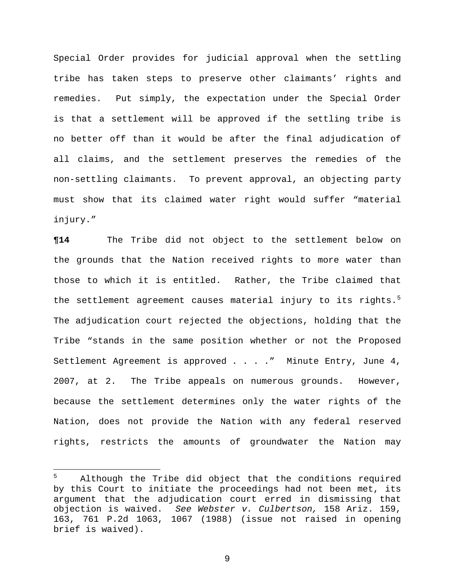Special Order provides for judicial approval when the settling tribe has taken steps to preserve other claimants' rights and remedies. Put simply, the expectation under the Special Order is that a settlement will be approved if the settling tribe is no better off than it would be after the final adjudication of all claims, and the settlement preserves the remedies of the non-settling claimants. To prevent approval, an objecting party must show that its claimed water right would suffer "material injury."

**¶14** The Tribe did not object to the settlement below on the grounds that the Nation received rights to more water than those to which it is entitled. Rather, the Tribe claimed that the settlement agreement causes material injury to its rights.<sup>5</sup> The adjudication court rejected the objections, holding that the Tribe "stands in the same position whether or not the Proposed Settlement Agreement is approved . . . . " Minute Entry, June 4, 2007, at 2. The Tribe appeals on numerous grounds. However, because the settlement determines only the water rights of the Nation, does not provide the Nation with any federal reserved rights, restricts the amounts of groundwater the Nation may

<span id="page-8-0"></span> $\frac{1}{5}$  Although the Tribe did object that the conditions required by this Court to initiate the proceedings had not been met, its argument that the adjudication court erred in dismissing that objection is waived. *See Webster v. Culbertson,* 158 Ariz. 159, 163, 761 P.2d 1063, 1067 (1988) (issue not raised in opening brief is waived).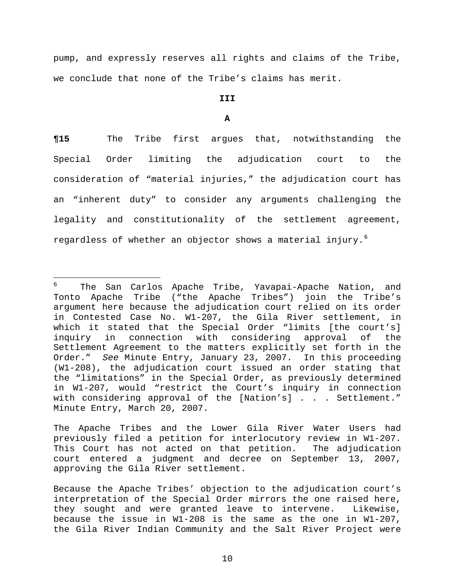pump, and expressly reserves all rights and claims of the Tribe, we conclude that none of the Tribe's claims has merit.

# **III**

### **A**

**¶15** The Tribe first argues that, notwithstanding the Special Order limiting the adjudication court to the consideration of "material injuries," the adjudication court has an "inherent duty" to consider any arguments challenging the legality and constitutionality of the settlement agreement, regardless of whether an objector shows a material injury.<sup>[6](#page-9-0)</sup>

<span id="page-9-0"></span> $\frac{1}{6}$  The San Carlos Apache Tribe, Yavapai-Apache Nation, and Tonto Apache Tribe ("the Apache Tribes") join the Tribe's argument here because the adjudication court relied on its order in Contested Case No. W1-207, the Gila River settlement, in which it stated that the Special Order "limits [the court's] inquiry in connection with considering approval of the Settlement Agreement to the matters explicitly set forth in the Order." *See* Minute Entry, January 23, 2007. In this proceeding (W1-208), the adjudication court issued an order stating that the "limitations" in the Special Order, as previously determined in W1-207, would "restrict the Court's inquiry in connection with considering approval of the [Nation's] . . . Settlement." Minute Entry, March 20, 2007.

The Apache Tribes and the Lower Gila River Water Users had previously filed a petition for interlocutory review in W1-207. This Court has not acted on that petition. The adjudication court entered a judgment and decree on September 13, 2007, approving the Gila River settlement.

Because the Apache Tribes' objection to the adjudication court's interpretation of the Special Order mirrors the one raised here, they sought and were granted leave to intervene. Likewise, because the issue in W1-208 is the same as the one in W1-207, the Gila River Indian Community and the Salt River Project were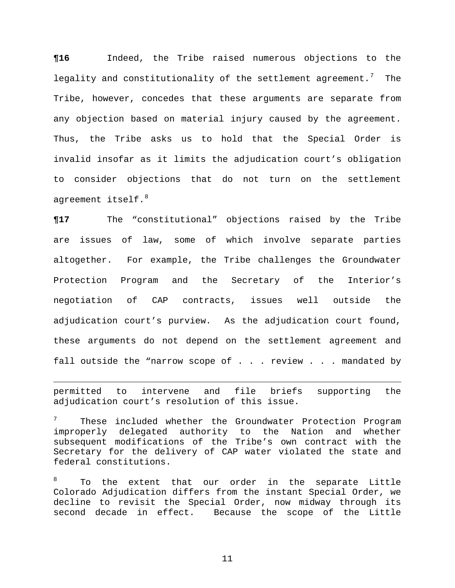**¶16** Indeed, the Tribe raised numerous objections to the legality and constitutionality of the settlement agreement.<sup>[7](#page-10-0)</sup> The Tribe, however, concedes that these arguments are separate from any objection based on material injury caused by the agreement. Thus, the Tribe asks us to hold that the Special Order is invalid insofar as it limits the adjudication court's obligation to consider objections that do not turn on the settlement agreement itself.<sup>[8](#page-10-1)</sup>

**¶17** The "constitutional" objections raised by the Tribe are issues of law, some of which involve separate parties altogether. For example, the Tribe challenges the Groundwater Protection Program and the Secretary of the Interior's negotiation of CAP contracts, issues well outside the adjudication court's purview. As the adjudication court found, these arguments do not depend on the settlement agreement and fall outside the "narrow scope of . . . review . . . mandated by

permitted to intervene and file briefs supporting the adjudication court's resolution of this issue.

i

<span id="page-10-0"></span>7 These included whether the Groundwater Protection Program improperly delegated authority to the Nation and whether subsequent modifications of the Tribe's own contract with the Secretary for the delivery of CAP water violated the state and federal constitutions.

<span id="page-10-1"></span>8 To the extent that our order in the separate Little Colorado Adjudication differs from the instant Special Order, we decline to revisit the Special Order, now midway through its second decade in effect. Because the scope of the Little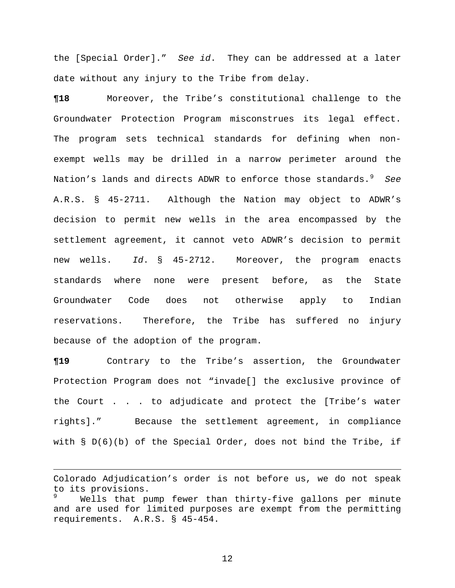the [Special Order]." *See id*. They can be addressed at a later date without any injury to the Tribe from delay.

**¶18** Moreover, the Tribe's constitutional challenge to the Groundwater Protection Program misconstrues its legal effect. The program sets technical standards for defining when nonexempt wells may be drilled in a narrow perimeter around the Nation's lands and directs ADWR to enforce those standards.<sup>[9](#page-11-0)</sup> See A.R.S. § 45-2711. Although the Nation may object to ADWR's decision to permit new wells in the area encompassed by the settlement agreement, it cannot veto ADWR's decision to permit new wells. *Id*. § 45-2712. Moreover, the program enacts standards where none were present before, as the State Groundwater Code does not otherwise apply to Indian reservations. Therefore, the Tribe has suffered no injury because of the adoption of the program.

**¶19** Contrary to the Tribe's assertion, the Groundwater Protection Program does not "invade[] the exclusive province of the Court . . . to adjudicate and protect the [Tribe's water rights]." Because the settlement agreement, in compliance with  $\S D(6)(b)$  of the Special Order, does not bind the Tribe, if

<span id="page-11-0"></span>Colorado Adjudication's order is not before us, we do not speak to its provisions. 9 Wells that pump fewer than thirty-five gallons per minute and are used for limited purposes are exempt from the permitting requirements. A.R.S. § 45-454.

i<br>Li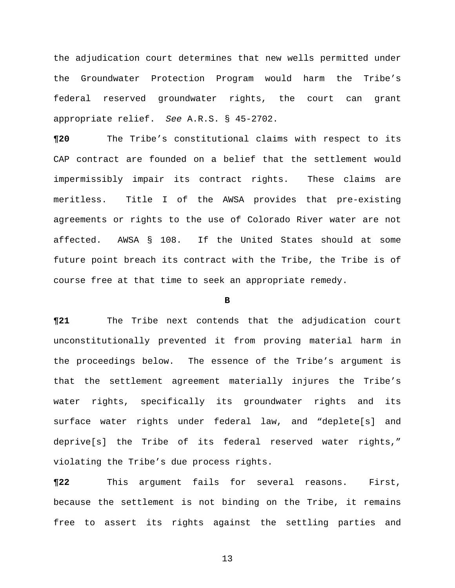the adjudication court determines that new wells permitted under the Groundwater Protection Program would harm the Tribe's federal reserved groundwater rights, the court can grant appropriate relief. *See* A.R.S. § 45-2702.

**¶20** The Tribe's constitutional claims with respect to its CAP contract are founded on a belief that the settlement would impermissibly impair its contract rights. These claims are meritless. Title I of the AWSA provides that pre-existing agreements or rights to the use of Colorado River water are not affected. AWSA § 108. If the United States should at some future point breach its contract with the Tribe, the Tribe is of course free at that time to seek an appropriate remedy.

#### **B**

**¶21** The Tribe next contends that the adjudication court unconstitutionally prevented it from proving material harm in the proceedings below. The essence of the Tribe's argument is that the settlement agreement materially injures the Tribe's water rights, specifically its groundwater rights and its surface water rights under federal law, and "deplete[s] and deprive[s] the Tribe of its federal reserved water rights," violating the Tribe's due process rights.

**¶22** This argument fails for several reasons. First, because the settlement is not binding on the Tribe, it remains free to assert its rights against the settling parties and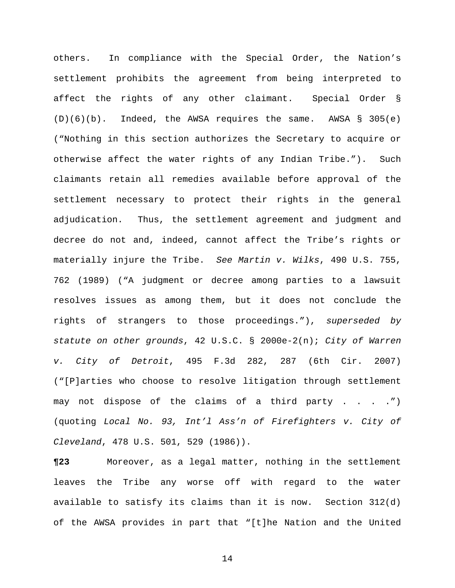others. In compliance with the Special Order, the Nation's settlement prohibits the agreement from being interpreted to affect the rights of any other claimant. Special Order §  $(D)(6)(b)$ . Indeed, the AWSA requires the same. AWSA § 305(e) ("Nothing in this section authorizes the Secretary to acquire or otherwise affect the water rights of any Indian Tribe."). Such claimants retain all remedies available before approval of the settlement necessary to protect their rights in the general adjudication. Thus, the settlement agreement and judgment and decree do not and, indeed, cannot affect the Tribe's rights or materially injure the Tribe. *See Martin v. Wilks*, 490 U.S. 755, 762 (1989) ("A judgment or decree among parties to a lawsuit resolves issues as among them, but it does not conclude the rights of strangers to those proceedings."), *superseded by statute on other grounds*, 42 U.S.C. § 2000e-2(n); *City of Warren v. City of Detroit*, 495 F.3d 282, 287 (6th Cir. 2007) ("[P]arties who choose to resolve litigation through settlement may not dispose of the claims of a third party . . . .") (quoting *Local No. 93, Int'l Ass'n of Firefighters v. City of Cleveland*, 478 U.S. 501, 529 (1986)).

**¶23** Moreover, as a legal matter, nothing in the settlement leaves the Tribe any worse off with regard to the water available to satisfy its claims than it is now. Section 312(d) of the AWSA provides in part that "[t]he Nation and the United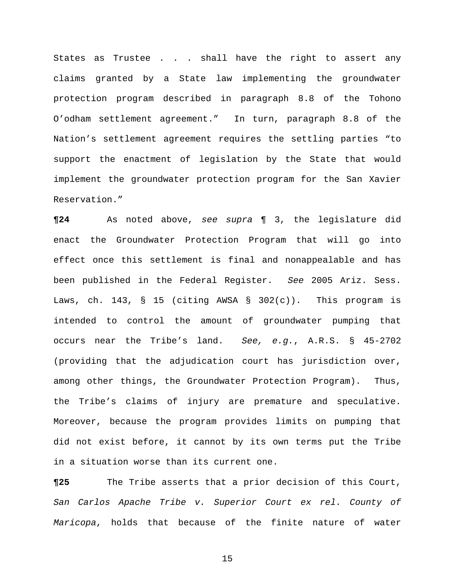States as Trustee . . . shall have the right to assert any claims granted by a State law implementing the groundwater protection program described in paragraph 8.8 of the Tohono O'odham settlement agreement." In turn, paragraph 8.8 of the Nation's settlement agreement requires the settling parties "to support the enactment of legislation by the State that would implement the groundwater protection program for the San Xavier Reservation."

**¶24** As noted above, *see supra* ¶ 3, the legislature did enact the Groundwater Protection Program that will go into effect once this settlement is final and nonappealable and has been published in the Federal Register. *See* 2005 Ariz. Sess. Laws, ch. 143, § 15 (citing AWSA § 302(c)). This program is intended to control the amount of groundwater pumping that occurs near the Tribe's land. *See, e.g.*, A.R.S. § 45-2702 (providing that the adjudication court has jurisdiction over, among other things, the Groundwater Protection Program). Thus, the Tribe's claims of injury are premature and speculative. Moreover, because the program provides limits on pumping that did not exist before, it cannot by its own terms put the Tribe in a situation worse than its current one.

**¶25** The Tribe asserts that a prior decision of this Court, *San Carlos Apache Tribe v. Superior Court ex rel. County of Maricopa*, holds that because of the finite nature of water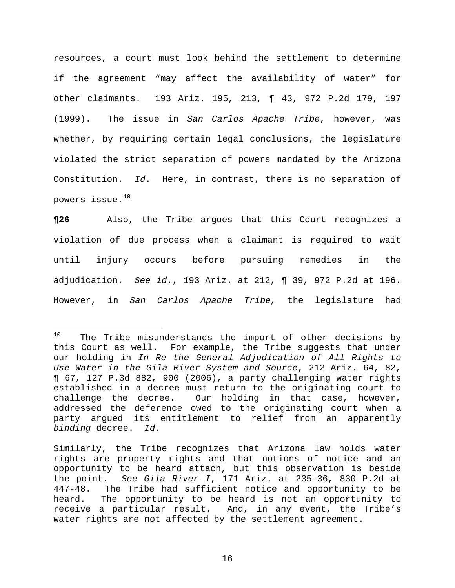resources, a court must look behind the settlement to determine if the agreement "may affect the availability of water" for other claimants. 193 Ariz. 195, 213, ¶ 43, 972 P.2d 179, 197 (1999). The issue in *San Carlos Apache Tribe*, however, was whether, by requiring certain legal conclusions, the legislature violated the strict separation of powers mandated by the Arizona Constitution. *Id*. Here, in contrast, there is no separation of powers issue.[10](#page-15-0)

**¶26** Also, the Tribe argues that this Court recognizes a violation of due process when a claimant is required to wait until injury occurs before pursuing remedies in the adjudication. *See id.*, 193 Ariz. at 212, ¶ 39, 972 P.2d at 196. However, in *San Carlos Apache Tribe,* the legislature had

i

<span id="page-15-0"></span> $10$  The Tribe misunderstands the import of other decisions by this Court as well. For example, the Tribe suggests that under our holding in *In Re the General Adjudication of All Rights to Use Water in the Gila River System and Source*, 212 Ariz. 64, 82, ¶ 67, 127 P.3d 882, 900 (2006), a party challenging water rights established in a decree must return to the originating court to challenge the decree. Our holding in that case, however, addressed the deference owed to the originating court when a party argued its entitlement to relief from an apparently *binding* decree. *Id*.

Similarly, the Tribe recognizes that Arizona law holds water rights are property rights and that notions of notice and an opportunity to be heard attach, but this observation is beside the point. *See Gila River I*, 171 Ariz. at 235-36, 830 P.2d at 447-48. The Tribe had sufficient notice and opportunity to be heard. The opportunity to be heard is not an opportunity to receive a particular result. And, in any event, the Tribe's water rights are not affected by the settlement agreement.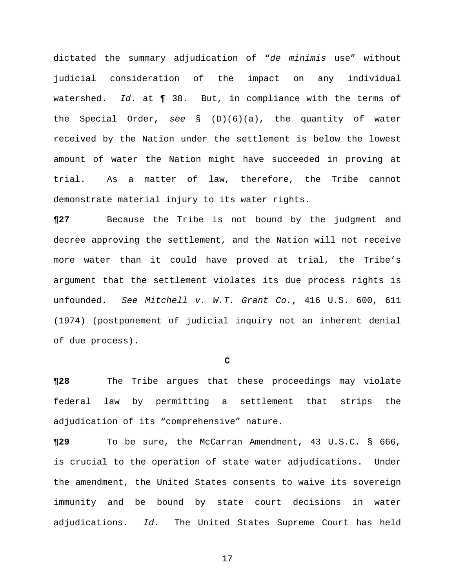dictated the summary adjudication of "*de minimis* use" without judicial consideration of the impact on any individual watershed. *Id*. at ¶ 38. But, in compliance with the terms of the Special Order, *see* § (D)(6)(a), the quantity of water received by the Nation under the settlement is below the lowest amount of water the Nation might have succeeded in proving at trial. As a matter of law, therefore, the Tribe cannot demonstrate material injury to its water rights.

**¶27** Because the Tribe is not bound by the judgment and decree approving the settlement, and the Nation will not receive more water than it could have proved at trial, the Tribe's argument that the settlement violates its due process rights is unfounded. *See Mitchell v. W.T. Grant Co.*, 416 U.S. 600, 611 (1974) (postponement of judicial inquiry not an inherent denial of due process).

**C** 

**¶28** The Tribe argues that these proceedings may violate federal law by permitting a settlement that strips the adjudication of its "comprehensive" nature.

**¶29** To be sure, the McCarran Amendment, 43 U.S.C. § 666, is crucial to the operation of state water adjudications. Under the amendment, the United States consents to waive its sovereign immunity and be bound by state court decisions in water adjudications. *Id.* The United States Supreme Court has held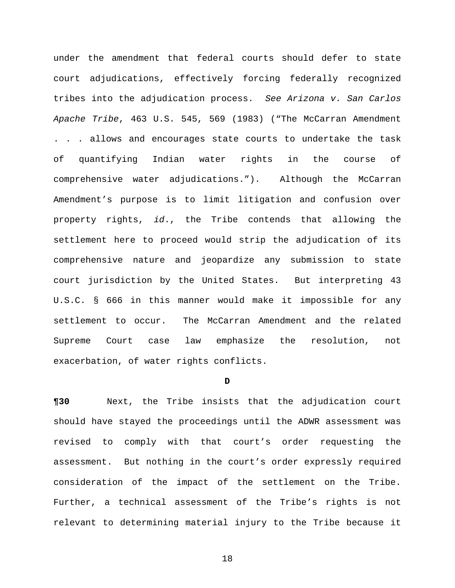under the amendment that federal courts should defer to state court adjudications, effectively forcing federally recognized tribes into the adjudication process. *See Arizona v. San Carlos Apache Tribe*, 463 U.S. 545, 569 (1983) ("The McCarran Amendment . . . allows and encourages state courts to undertake the task of quantifying Indian water rights in the course of comprehensive water adjudications."). Although the McCarran Amendment's purpose is to limit litigation and confusion over property rights, *id*., the Tribe contends that allowing the settlement here to proceed would strip the adjudication of its comprehensive nature and jeopardize any submission to state court jurisdiction by the United States. But interpreting 43 U.S.C. § 666 in this manner would make it impossible for any settlement to occur. The McCarran Amendment and the related Supreme Court case law emphasize the resolution, not exacerbation, of water rights conflicts.

#### **D**

**¶30** Next, the Tribe insists that the adjudication court should have stayed the proceedings until the ADWR assessment was revised to comply with that court's order requesting the assessment. But nothing in the court's order expressly required consideration of the impact of the settlement on the Tribe. Further, a technical assessment of the Tribe's rights is not relevant to determining material injury to the Tribe because it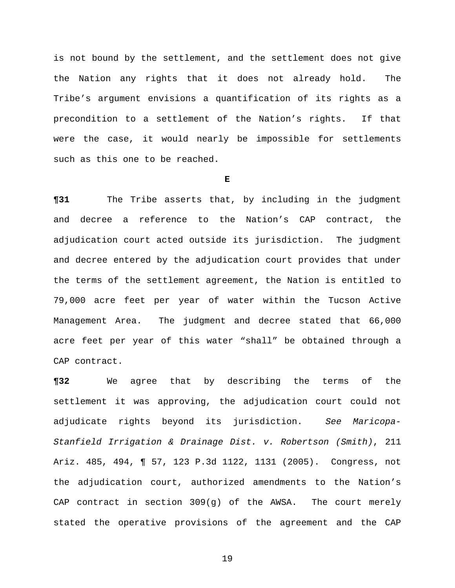is not bound by the settlement, and the settlement does not give the Nation any rights that it does not already hold. The Tribe's argument envisions a quantification of its rights as a precondition to a settlement of the Nation's rights. If that were the case, it would nearly be impossible for settlements such as this one to be reached.

### **E**

**¶31** The Tribe asserts that, by including in the judgment and decree a reference to the Nation's CAP contract, the adjudication court acted outside its jurisdiction. The judgment and decree entered by the adjudication court provides that under the terms of the settlement agreement, the Nation is entitled to 79,000 acre feet per year of water within the Tucson Active Management Area. The judgment and decree stated that 66,000 acre feet per year of this water "shall" be obtained through a CAP contract.

**¶32** We agree that by describing the terms of the settlement it was approving, the adjudication court could not adjudicate rights beyond its jurisdiction. *See Maricopa-Stanfield Irrigation & Drainage Dist. v. Robertson (Smith)*, 211 Ariz. 485, 494, ¶ 57, 123 P.3d 1122, 1131 (2005). Congress, not the adjudication court, authorized amendments to the Nation's CAP contract in section 309(g) of the AWSA. The court merely stated the operative provisions of the agreement and the CAP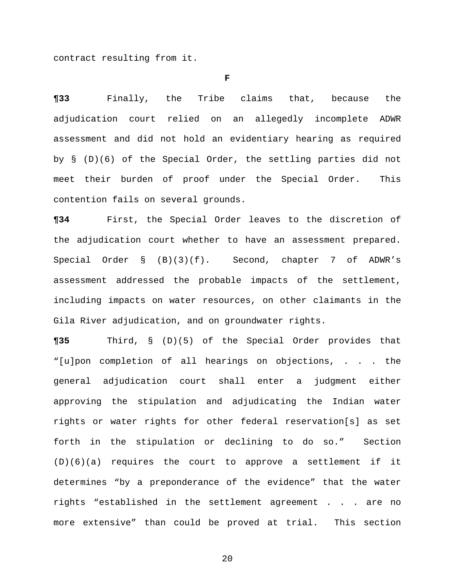contract resulting from it.

**F** 

**¶33** Finally, the Tribe claims that, because the adjudication court relied on an allegedly incomplete ADWR assessment and did not hold an evidentiary hearing as required by § (D)(6) of the Special Order, the settling parties did not meet their burden of proof under the Special Order. This contention fails on several grounds.

**¶34** First, the Special Order leaves to the discretion of the adjudication court whether to have an assessment prepared. Special Order § (B)(3)(f). Second, chapter 7 of ADWR's assessment addressed the probable impacts of the settlement, including impacts on water resources, on other claimants in the Gila River adjudication, and on groundwater rights.

**¶35** Third, § (D)(5) of the Special Order provides that "[u]pon completion of all hearings on objections, . . . the general adjudication court shall enter a judgment either approving the stipulation and adjudicating the Indian water rights or water rights for other federal reservation[s] as set forth in the stipulation or declining to do so." Section (D)(6)(a) requires the court to approve a settlement if it determines "by a preponderance of the evidence" that the water rights "established in the settlement agreement . . . are no more extensive" than could be proved at trial. This section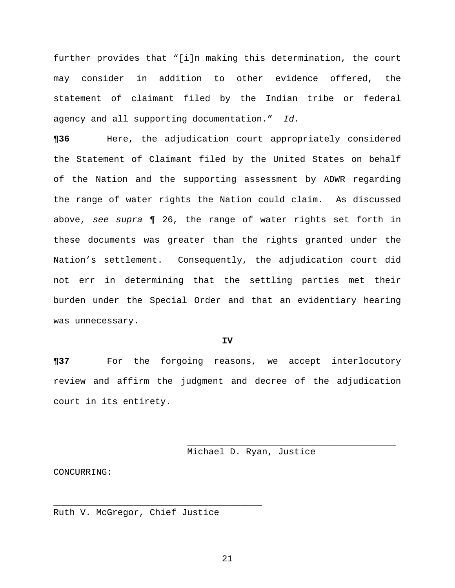further provides that "[i]n making this determination, the court may consider in addition to other evidence offered, the statement of claimant filed by the Indian tribe or federal agency and all supporting documentation." *Id*.

**¶36** Here, the adjudication court appropriately considered the Statement of Claimant filed by the United States on behalf of the Nation and the supporting assessment by ADWR regarding the range of water rights the Nation could claim. As discussed above, *see supra* ¶ 26, the range of water rights set forth in these documents was greater than the rights granted under the Nation's settlement. Consequently, the adjudication court did not err in determining that the settling parties met their burden under the Special Order and that an evidentiary hearing was unnecessary.

### **IV**

**¶37** For the forgoing reasons, we accept interlocutory review and affirm the judgment and decree of the adjudication court in its entirety.

 $\frac{1}{\sqrt{2\pi}}$  ,  $\frac{1}{\sqrt{2\pi}}$  ,  $\frac{1}{\sqrt{2\pi}}$  ,  $\frac{1}{\sqrt{2\pi}}$  ,  $\frac{1}{\sqrt{2\pi}}$  ,  $\frac{1}{\sqrt{2\pi}}$  ,  $\frac{1}{\sqrt{2\pi}}$  ,  $\frac{1}{\sqrt{2\pi}}$  ,  $\frac{1}{\sqrt{2\pi}}$  ,  $\frac{1}{\sqrt{2\pi}}$  ,  $\frac{1}{\sqrt{2\pi}}$  ,  $\frac{1}{\sqrt{2\pi}}$  ,  $\frac{1}{\sqrt{2\pi}}$  ,

Michael D. Ryan, Justice

CONCURRING:

Ruth V. McGregor, Chief Justice

\_\_\_\_\_\_\_\_\_\_\_\_\_\_\_\_\_\_\_\_\_\_\_\_\_\_\_\_\_\_\_\_\_\_\_\_\_\_\_